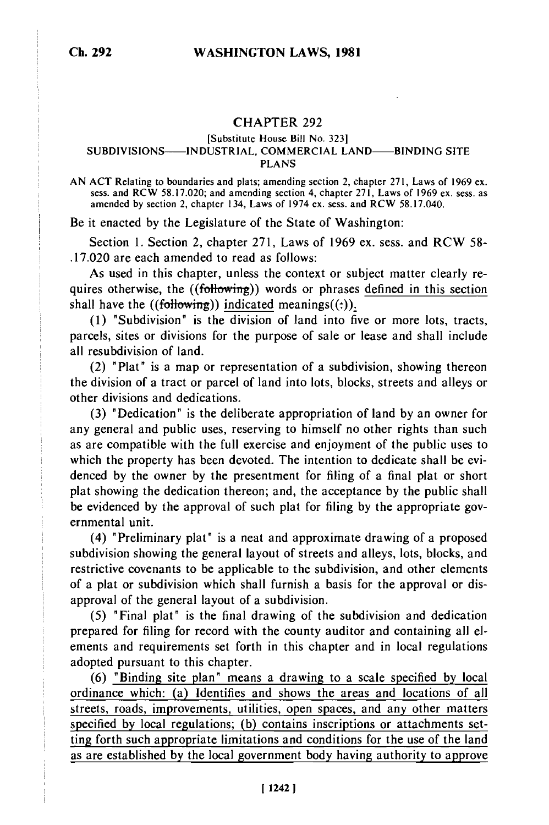## CHAPTER 292

## [Substitute House Bill No. 323] SUBDIVISIONS- INDUSTRIAL, COMMERCIAL LAND- BINDING SITE PLANS

AN ACT Relating to boundaries and plats; amending section 2, chapter 271, Laws of 1969 ex. sess. and RCW 58.17.020; and amending section 4, chapter 271, Laws of 1969 ex. sess. as amended by section 2, chapter 134, Laws of 1974 ex. sess. and RCW 58.17.040.

Be it enacted by the Legislature of the State of Washington:

Section 1. Section 2, chapter 271, Laws of 1969 ex. sess. and RCW **58-** .17.020 are each amended to read as follows:

As used in this chapter, unless the context or subject matter clearly requires otherwise, the ((following)) words or phrases defined in this section shall have the  $((\text{following}))$  indicated meanings $((:))$ .

(1) "Subdivision" is the division of land into five or more lots, tracts, parcels, sites or divisions for the purpose of sale or lease and shall include all resubdivision of land.

(2) "Plat" is a map or representation of a subdivision, showing thereon the division of a tract or parcel of land into lots, blocks, streets and alleys or other divisions and dedications.

(3) "Dedication" is the deliberate appropriation of land by an owner for any general and public uses, reserving to himself no other rights than such as are compatible with the full exercise and enjoyment of the public uses to which the property has been devoted. The intention to dedicate shall be evidenced by the owner by the presentment for filing of a final plat or short plat showing the dedication thereon; and, the acceptance by the public shall be evidenced by the approval of such plat for filing by the appropriate governmental unit.

(4) "Preliminary plat" is a neat and approximate drawing of a proposed subdivision showing the general layout of streets and alleys, lots, blocks, and restrictive covenants to be applicable to the subdivision, and other elements of a plat or subdivision which shall furnish a basis for the approval or disapproval of the general layout of a subdivision.

(5) "Final plat" is the final drawing of the subdivision and dedication prepared for filing for record with the county auditor and containing all elements and requirements set forth in this chapter and in local regulations adopted pursuant to this chapter.

(6) "Binding site plan" means a drawing to a scale specified by local ordinance which: (a) Identifies and shows the areas and locations of all streets, roads, improvements, utilities, open spaces, and any other matters specified by local regulations; (b) contains inscriptions or attachments setting forth such appropriate limitations and conditions for the use of the land as are established by the local government body having authority to approve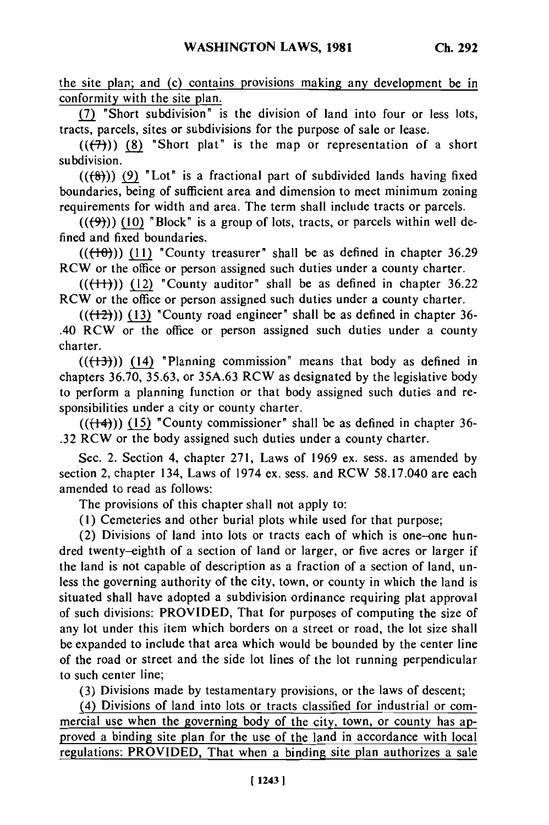the site plan; and (c) contains provisions making any development be in conformity with the site plan.

**(7)** "Short subdivision" is the division of land into four or less lots, tracts, parcels, sites or subdivisions for the purpose of sale or lease.

 $((\overline{(7)}))$  (8) "Short plat" is the map or representation of a short subdivision.

 $((\{8\}))$  (9) "Lot" is a fractional part of subdivided lands having fixed boundaries, being of sufficient area and dimension to meet minimum zoning requirements for width and area. The term shall include tracts or parcels.

 $((\left\lbrace 9 \right\rbrace))$  (10) "Block" is a group of lots, tracts, or parcels within well defined and fixed boundaries.

 $((\text{+}10))$  (11) "County treasurer" shall be as defined in chapter 36.29 RCW or the office or person assigned such duties under a county charter.

 $((+1))$  (12) "County auditor" shall be as defined in chapter 36.22 RCW or the office or person assigned such duties under a county charter.

 $((+2))$  (13) "County road engineer" shall be as defined in chapter 36-.40 RCW or the office or person assigned such duties under a county charter.

 $((+3))$  (14) "Planning commission" means that body as defined in chapters 36.70, 35.63, or 35A.63 RCW as designated by the legislative body to perform a planning function or that body assigned such duties and responsibilities under a city or county charter.

 $((+4))$  (15) "County commissioner" shall be as defined in chapter 36-.32 RCW or the body assigned such duties under a county charter.

Sec. 2. Section 4, chapter 271, Laws of 1969 ex. sess. as amended by section 2, chapter 134, Laws of 1974 ex. sess. and RCW 58.17.040 are each amended to read as follows:

The provisions of this chapter shall not apply to:

(1) Cemeteries and other burial plots while used for that purpose;

(2) Divisions of land into lots or tracts each of which is one-one hundred twenty-eighth of a section of land or larger, or five acres or larger if the land is not capable of description as a fraction of a section of land, unless the governing authority of the city, town, or county in which the land is situated shall have adopted a subdivision ordinance requiring plat approval of such divisions: PROVIDED, That for purposes of computing the size of any lot under this item which borders on a street or road, the lot size shall be expanded to include that area which would be bounded by the center line of the road or street and the side lot lines of the lot running perpendicular to such center line;

(3) Divisions made by testamentary provisions, or the laws of descent;

(4) Divisions of land into lots or tracts classified for industrial or commercial use when the governing body of the city, town, or county has approved a binding site plan for the use of the land in accordance with local regulations: PROVIDED, That when a binding site plan authorizes a sale